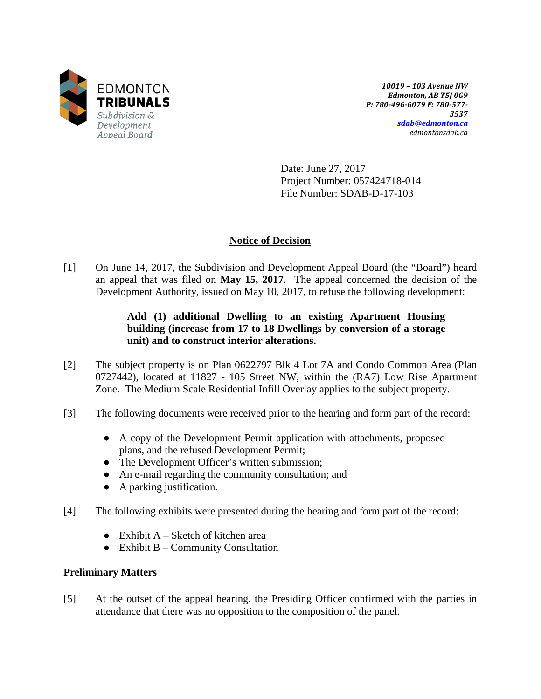

*10019 – 103 Avenue NW Edmonton, AB T5J 0G9 P: 780-496-6079 F: 780-577- 3537 [sdab@edmonton.ca](mailto:sdab@edmonton.ca) edmontonsdab.ca*

Date: June 27, 2017 Project Number: 057424718-014 File Number: SDAB-D-17-103

## **Notice of Decision**

[1] On June 14, 2017, the Subdivision and Development Appeal Board (the "Board") heard an appeal that was filed on **May 15, 2017**. The appeal concerned the decision of the Development Authority, issued on May 10, 2017, to refuse the following development:

## **Add (1) additional Dwelling to an existing Apartment Housing building (increase from 17 to 18 Dwellings by conversion of a storage unit) and to construct interior alterations.**

- [2] The subject property is on Plan 0622797 Blk 4 Lot 7A and Condo Common Area (Plan 0727442), located at 11827 - 105 Street NW, within the (RA7) Low Rise Apartment Zone. The Medium Scale Residential Infill Overlay applies to the subject property.
- [3] The following documents were received prior to the hearing and form part of the record:
	- A copy of the Development Permit application with attachments, proposed plans, and the refused Development Permit;
	- The Development Officer's written submission;
	- An e-mail regarding the community consultation; and
	- A parking justification.
- [4] The following exhibits were presented during the hearing and form part of the record:
	- Exhibit  $A -$  Sketch of kitchen area
	- $\bullet$  Exhibit B Community Consultation

## **Preliminary Matters**

[5] At the outset of the appeal hearing, the Presiding Officer confirmed with the parties in attendance that there was no opposition to the composition of the panel.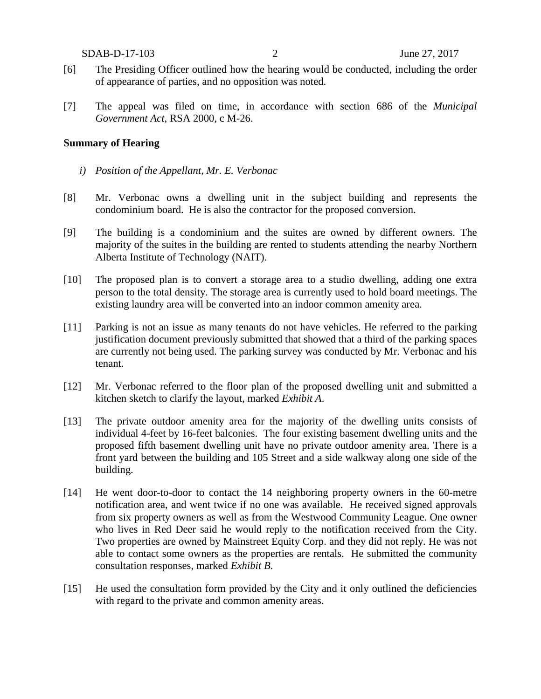SDAB-D-17-103 2 June 27, 2017

- [6] The Presiding Officer outlined how the hearing would be conducted, including the order of appearance of parties, and no opposition was noted.
- [7] The appeal was filed on time, in accordance with section 686 of the *Municipal Government Act*, RSA 2000, c M-26.

#### **Summary of Hearing**

- *i) Position of the Appellant, Mr. E. Verbonac*
- [8] Mr. Verbonac owns a dwelling unit in the subject building and represents the condominium board. He is also the contractor for the proposed conversion.
- [9] The building is a condominium and the suites are owned by different owners. The majority of the suites in the building are rented to students attending the nearby Northern Alberta Institute of Technology (NAIT).
- [10] The proposed plan is to convert a storage area to a studio dwelling, adding one extra person to the total density. The storage area is currently used to hold board meetings. The existing laundry area will be converted into an indoor common amenity area.
- [11] Parking is not an issue as many tenants do not have vehicles. He referred to the parking justification document previously submitted that showed that a third of the parking spaces are currently not being used. The parking survey was conducted by Mr. Verbonac and his tenant.
- [12] Mr. Verbonac referred to the floor plan of the proposed dwelling unit and submitted a kitchen sketch to clarify the layout, marked *Exhibit A*.
- [13] The private outdoor amenity area for the majority of the dwelling units consists of individual 4-feet by 16-feet balconies. The four existing basement dwelling units and the proposed fifth basement dwelling unit have no private outdoor amenity area. There is a front yard between the building and 105 Street and a side walkway along one side of the building.
- [14] He went door-to-door to contact the 14 neighboring property owners in the 60-metre notification area, and went twice if no one was available. He received signed approvals from six property owners as well as from the Westwood Community League. One owner who lives in Red Deer said he would reply to the notification received from the City. Two properties are owned by Mainstreet Equity Corp. and they did not reply. He was not able to contact some owners as the properties are rentals. He submitted the community consultation responses, marked *Exhibit B*.
- [15] He used the consultation form provided by the City and it only outlined the deficiencies with regard to the private and common amenity areas.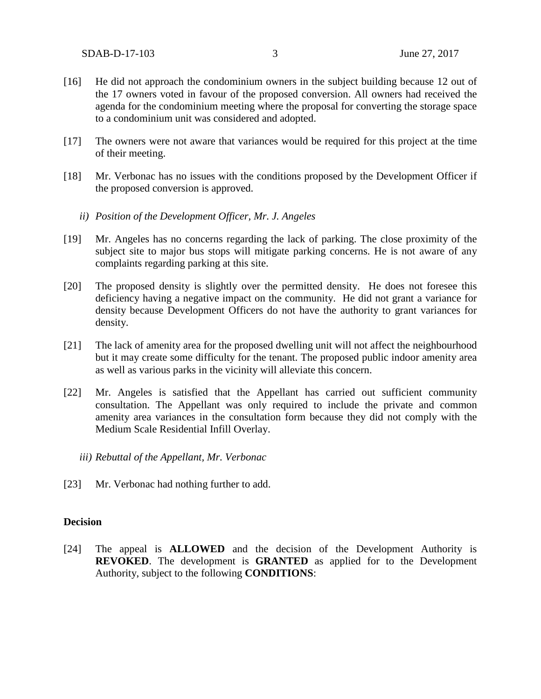- [16] He did not approach the condominium owners in the subject building because 12 out of the 17 owners voted in favour of the proposed conversion. All owners had received the agenda for the condominium meeting where the proposal for converting the storage space to a condominium unit was considered and adopted.
- [17] The owners were not aware that variances would be required for this project at the time of their meeting.
- [18] Mr. Verbonac has no issues with the conditions proposed by the Development Officer if the proposed conversion is approved.
	- *ii) Position of the Development Officer, Mr. J. Angeles*
- [19] Mr. Angeles has no concerns regarding the lack of parking. The close proximity of the subject site to major bus stops will mitigate parking concerns. He is not aware of any complaints regarding parking at this site.
- [20] The proposed density is slightly over the permitted density. He does not foresee this deficiency having a negative impact on the community. He did not grant a variance for density because Development Officers do not have the authority to grant variances for density.
- [21] The lack of amenity area for the proposed dwelling unit will not affect the neighbourhood but it may create some difficulty for the tenant. The proposed public indoor amenity area as well as various parks in the vicinity will alleviate this concern.
- [22] Mr. Angeles is satisfied that the Appellant has carried out sufficient community consultation. The Appellant was only required to include the private and common amenity area variances in the consultation form because they did not comply with the Medium Scale Residential Infill Overlay.
	- *iii) Rebuttal of the Appellant, Mr. Verbonac*
- [23] Mr. Verbonac had nothing further to add.

#### **Decision**

[24] The appeal is **ALLOWED** and the decision of the Development Authority is **REVOKED**. The development is **GRANTED** as applied for to the Development Authority, subject to the following **CONDITIONS**: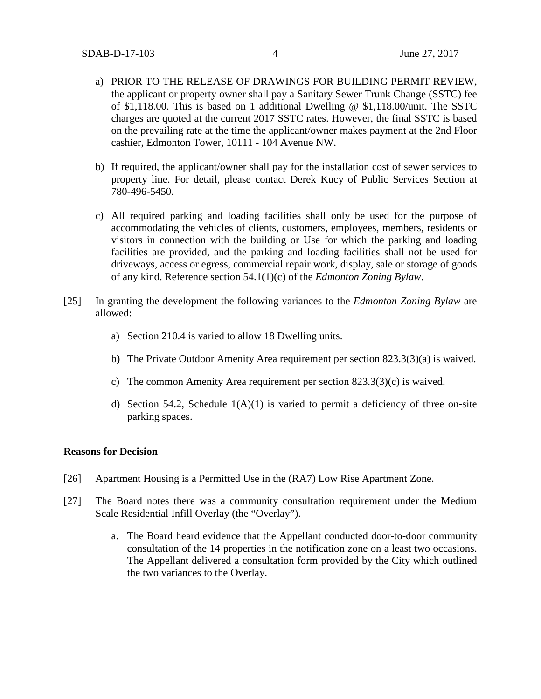- a) PRIOR TO THE RELEASE OF DRAWINGS FOR BUILDING PERMIT REVIEW, the applicant or property owner shall pay a Sanitary Sewer Trunk Change (SSTC) fee of \$1,118.00. This is based on 1 additional Dwelling @ \$1,118.00/unit. The SSTC charges are quoted at the current 2017 SSTC rates. However, the final SSTC is based on the prevailing rate at the time the applicant/owner makes payment at the 2nd Floor cashier, Edmonton Tower, 10111 - 104 Avenue NW.
- b) If required, the applicant/owner shall pay for the installation cost of sewer services to property line. For detail, please contact Derek Kucy of Public Services Section at 780-496-5450.
- c) All required parking and loading facilities shall only be used for the purpose of accommodating the vehicles of clients, customers, employees, members, residents or visitors in connection with the building or Use for which the parking and loading facilities are provided, and the parking and loading facilities shall not be used for driveways, access or egress, commercial repair work, display, sale or storage of goods of any kind. Reference section 54.1(1)(c) of the *Edmonton Zoning Bylaw*.
- [25] In granting the development the following variances to the *Edmonton Zoning Bylaw* are allowed:
	- a) Section 210.4 is varied to allow 18 Dwelling units.
	- b) The Private Outdoor Amenity Area requirement per section 823.3(3)(a) is waived.
	- c) The common Amenity Area requirement per section  $823.3(3)(c)$  is waived.
	- d) Section 54.2, Schedule  $1(A)(1)$  is varied to permit a deficiency of three on-site parking spaces.

#### **Reasons for Decision**

- [26] Apartment Housing is a Permitted Use in the (RA7) Low Rise Apartment Zone.
- [27] The Board notes there was a community consultation requirement under the Medium Scale Residential Infill Overlay (the "Overlay").
	- a. The Board heard evidence that the Appellant conducted door-to-door community consultation of the 14 properties in the notification zone on a least two occasions. The Appellant delivered a consultation form provided by the City which outlined the two variances to the Overlay.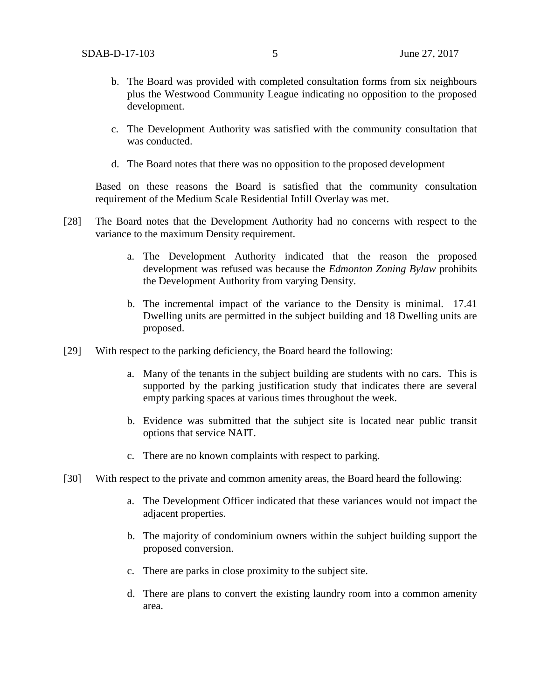- b. The Board was provided with completed consultation forms from six neighbours plus the Westwood Community League indicating no opposition to the proposed development.
- c. The Development Authority was satisfied with the community consultation that was conducted.
- d. The Board notes that there was no opposition to the proposed development

Based on these reasons the Board is satisfied that the community consultation requirement of the Medium Scale Residential Infill Overlay was met.

- [28] The Board notes that the Development Authority had no concerns with respect to the variance to the maximum Density requirement.
	- a. The Development Authority indicated that the reason the proposed development was refused was because the *Edmonton Zoning Bylaw* prohibits the Development Authority from varying Density.
	- b. The incremental impact of the variance to the Density is minimal. 17.41 Dwelling units are permitted in the subject building and 18 Dwelling units are proposed.
- [29] With respect to the parking deficiency, the Board heard the following:
	- a. Many of the tenants in the subject building are students with no cars. This is supported by the parking justification study that indicates there are several empty parking spaces at various times throughout the week.
	- b. Evidence was submitted that the subject site is located near public transit options that service NAIT.
	- c. There are no known complaints with respect to parking.
- [30] With respect to the private and common amenity areas, the Board heard the following:
	- a. The Development Officer indicated that these variances would not impact the adjacent properties.
	- b. The majority of condominium owners within the subject building support the proposed conversion.
	- c. There are parks in close proximity to the subject site.
	- d. There are plans to convert the existing laundry room into a common amenity area.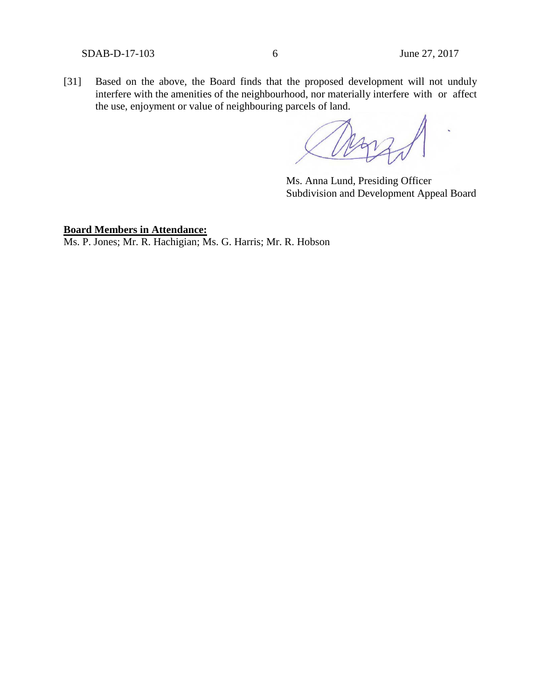SDAB-D-17-103 6 June 27, 2017

[31] Based on the above, the Board finds that the proposed development will not unduly interfere with the amenities of the neighbourhood, nor materially interfere with or affect the use, enjoyment or value of neighbouring parcels of land.

Ms. Anna Lund, Presiding Officer Subdivision and Development Appeal Board

**Board Members in Attendance:**

Ms. P. Jones; Mr. R. Hachigian; Ms. G. Harris; Mr. R. Hobson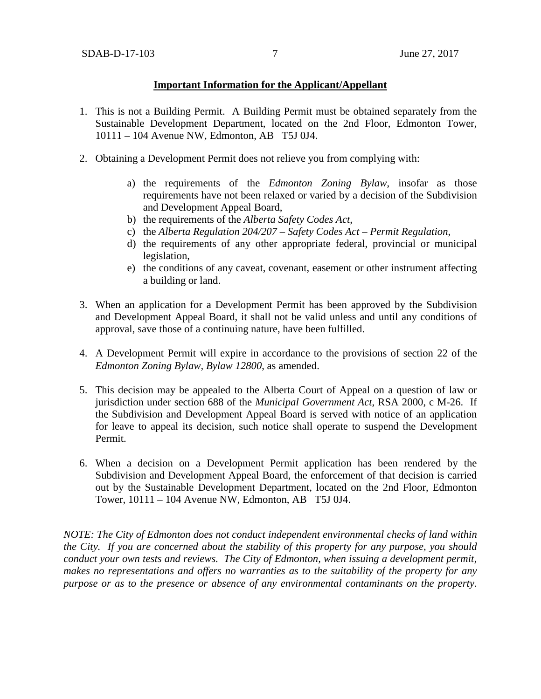### **Important Information for the Applicant/Appellant**

- 1. This is not a Building Permit. A Building Permit must be obtained separately from the Sustainable Development Department, located on the 2nd Floor, Edmonton Tower, 10111 – 104 Avenue NW, Edmonton, AB T5J 0J4.
- 2. Obtaining a Development Permit does not relieve you from complying with:
	- a) the requirements of the *Edmonton Zoning Bylaw*, insofar as those requirements have not been relaxed or varied by a decision of the Subdivision and Development Appeal Board,
	- b) the requirements of the *Alberta Safety Codes Act*,
	- c) the *Alberta Regulation 204/207 – Safety Codes Act – Permit Regulation*,
	- d) the requirements of any other appropriate federal, provincial or municipal legislation,
	- e) the conditions of any caveat, covenant, easement or other instrument affecting a building or land.
- 3. When an application for a Development Permit has been approved by the Subdivision and Development Appeal Board, it shall not be valid unless and until any conditions of approval, save those of a continuing nature, have been fulfilled.
- 4. A Development Permit will expire in accordance to the provisions of section 22 of the *Edmonton Zoning Bylaw, Bylaw 12800*, as amended.
- 5. This decision may be appealed to the Alberta Court of Appeal on a question of law or jurisdiction under section 688 of the *Municipal Government Act*, RSA 2000, c M-26. If the Subdivision and Development Appeal Board is served with notice of an application for leave to appeal its decision, such notice shall operate to suspend the Development Permit.
- 6. When a decision on a Development Permit application has been rendered by the Subdivision and Development Appeal Board, the enforcement of that decision is carried out by the Sustainable Development Department, located on the 2nd Floor, Edmonton Tower, 10111 – 104 Avenue NW, Edmonton, AB T5J 0J4.

*NOTE: The City of Edmonton does not conduct independent environmental checks of land within the City. If you are concerned about the stability of this property for any purpose, you should conduct your own tests and reviews. The City of Edmonton, when issuing a development permit, makes no representations and offers no warranties as to the suitability of the property for any purpose or as to the presence or absence of any environmental contaminants on the property.*